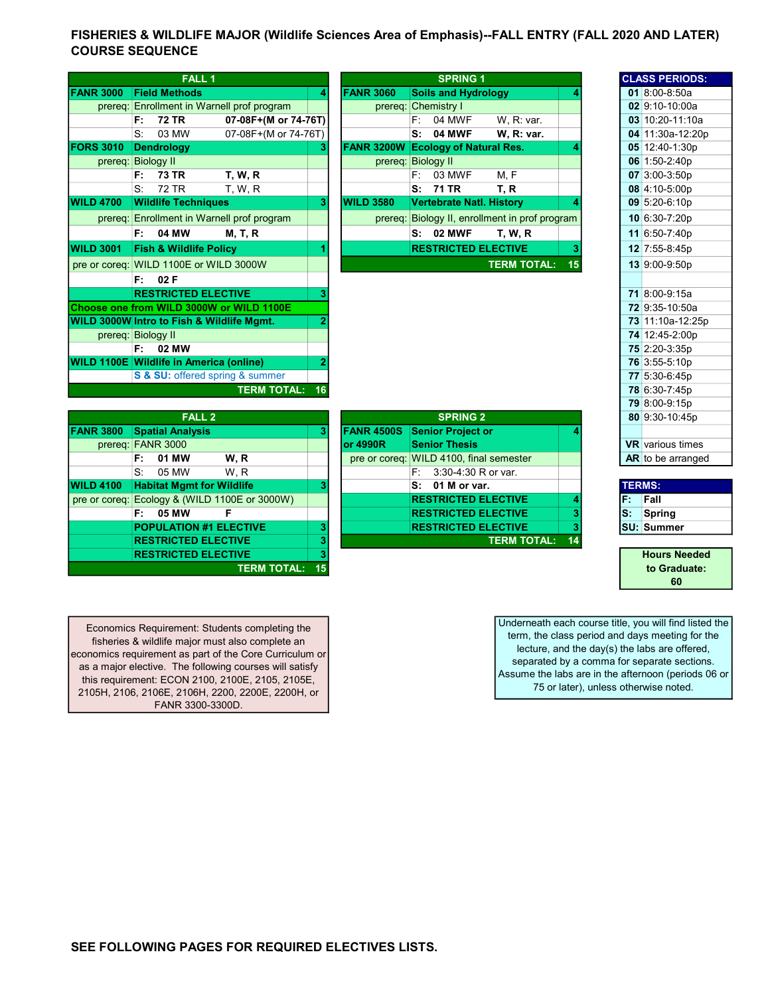## FISHERIES & WILDLIFE MAJOR (Wildlife Sciences Area of Emphasis)--FALL ENTRY (FALL 2020 AND LATER) COURSE SEQUENCE

|                  | FALL <sub>1</sub>                              |                                            |                |                             |    | <b>SPRING 1</b>        |  |
|------------------|------------------------------------------------|--------------------------------------------|----------------|-----------------------------|----|------------------------|--|
|                  |                                                |                                            |                |                             |    |                        |  |
| <b>FANR 3000</b> | <b>Field Methods</b>                           |                                            | 4              | <b>FANR 3060</b>            |    | <b>Soils and Hydro</b> |  |
|                  |                                                | prereq: Enrollment in Warnell prof program |                | prereq: Chemistry I         |    |                        |  |
|                  | F:<br><b>72 TR</b>                             | 07-08F+(M or 74-76T)                       |                |                             | F: | 04 MWF                 |  |
|                  | S.<br>03 MW                                    | 07-08F+(M or 74-76T)                       |                |                             | S: | <b>04 MWF</b>          |  |
| <b>FORS 3010</b> | <b>Dendrology</b>                              |                                            | 3              | FANR 3200W Ecology of Natu  |    |                        |  |
|                  | prereq: Biology II                             |                                            |                | prereq: Biology II          |    |                        |  |
|                  | F:<br>73 TR                                    | <b>T. W. R</b>                             |                |                             | F: | 03 MWF                 |  |
|                  | 72 TR<br>S.                                    | T, W, R                                    |                |                             | s: | 71 TR                  |  |
| <b>WILD 4700</b> | <b>Wildlife Techniques</b>                     |                                            | 3              | <b>WILD 3580</b>            |    | Vertebrate Natl.       |  |
|                  |                                                | prereq: Enrollment in Warnell prof program |                | prereq: Biology II, enrollr |    |                        |  |
|                  | F:<br>04 MW                                    | <b>M, T, R</b>                             |                |                             | S: | <b>02 MWF</b>          |  |
| <b>WILD 3001</b> | <b>Fish &amp; Wildlife Policy</b>              |                                            | 1              |                             |    | <b>RESTRICTED EI</b>   |  |
|                  | pre or coreq: WILD 1100E or WILD 3000W         |                                            |                |                             |    |                        |  |
|                  | F:<br>02F                                      |                                            |                |                             |    |                        |  |
|                  | <b>RESTRICTED ELECTIVE</b>                     |                                            | 3              |                             |    |                        |  |
|                  |                                                | Choose one from WILD 3000W or WILD 1100E   |                |                             |    |                        |  |
|                  | WILD 3000W Intro to Fish & Wildlife Mgmt.      |                                            | $\overline{2}$ |                             |    |                        |  |
|                  | prereq: Biology II                             |                                            |                |                             |    |                        |  |
|                  | 02 MW<br>F:                                    |                                            |                |                             |    |                        |  |
|                  | <b>WILD 1100E Wildlife in America (online)</b> |                                            | 2              |                             |    |                        |  |
|                  |                                                | S & SU: offered spring & summer            |                |                             |    |                        |  |
|                  |                                                | <b>TERM TOTAL:</b>                         | 16             |                             |    |                        |  |
|                  |                                                |                                            |                |                             |    |                        |  |

|                  | FALL 1                                     |    |                   | <b>SPRING 1</b>                                |    |               | <b>CLASS PERIODS</b>    |
|------------------|--------------------------------------------|----|-------------------|------------------------------------------------|----|---------------|-------------------------|
| <b>FANR 3000</b> | <b>Field Methods</b>                       | 4  | <b>FANR 3060</b>  | <b>Soils and Hydrology</b>                     |    |               | 01 8:00-8:50a           |
|                  | prereq: Enrollment in Warnell prof program |    |                   | prereq: Chemistry I                            |    |               | 02 9:10-10:00a          |
|                  | 07-08F+(M or 74-76T)<br><b>72 TR</b><br>F: |    |                   | 04 MWF<br>W. R: var.<br>F:                     |    |               | $03 10:20-11:10a$       |
|                  | S:<br>03 MW<br>07-08F+(M or 74-76T)        |    |                   | <b>04 MWF</b><br>W. R: var.<br>S:              |    |               | 04 11:30a-12:20         |
| <b>FORS 3010</b> | <b>Dendrology</b>                          | 3  |                   | FANR 3200W Ecology of Natural Res.             |    |               | 05 12:40-1:30p          |
|                  | prereq: Biology II                         |    |                   | prereq: Biology II                             |    |               | 06 1:50-2:40p           |
|                  | <b>73 TR</b><br><b>T. W. R</b><br>F:       |    |                   | 03 MWF<br>M, F<br>F:                           |    |               | 07 3:00-3:50p           |
|                  | 72 TR<br>S:<br>T, W, R                     |    |                   | S:<br>71 TR<br>T, R                            |    |               | 08 4:10-5:00p           |
| <b>WILD 4700</b> | <b>Wildlife Techniques</b>                 | 3  | <b>WILD 3580</b>  | <b>Vertebrate Natl. History</b>                |    |               | 09 5:20-6:10p           |
|                  | prereq: Enrollment in Warnell prof program |    |                   | prereq: Biology II, enrollment in prof program |    |               | 10 6:30-7:20p           |
|                  | 04 MW<br>F:<br><b>M, T, R</b>              |    |                   | <b>S: 02 MWF</b><br><b>T. W. R</b>             |    |               | 11 6:50-7:40p           |
| <b>WILD 3001</b> | <b>Fish &amp; Wildlife Policy</b>          |    |                   | <b>RESTRICTED ELECTIVE</b>                     | 3  |               | 12 7:55-8:45p           |
|                  | pre or coreg: WILD 1100E or WILD 3000W     |    |                   | <b>TERM TOTAL:</b>                             | 15 |               | 13 9:00-9:50p           |
|                  | 02 F<br>F:                                 |    |                   |                                                |    |               |                         |
|                  | <b>RESTRICTED ELECTIVE</b>                 | 3  |                   |                                                |    |               | 71 8:00-9:15a           |
|                  | Choose one from WILD 3000W or WILD 1100E   |    |                   |                                                |    |               | 72 9:35-10:50a          |
|                  | WILD 3000W Intro to Fish & Wildlife Mgmt.  |    |                   |                                                |    |               | 73 11:10a-12:25         |
|                  | prereq: Biology II                         |    |                   |                                                |    |               | 74 12:45-2:00p          |
|                  | F:<br>02 MW                                |    |                   |                                                |    |               | 75 2:20-3:35p           |
|                  | WILD 1100E Wildlife in America (online)    | 2  |                   |                                                |    |               | 76 3:55-5:10p           |
|                  | S & SU: offered spring & summer            |    |                   |                                                |    |               | 77 5:30-6:45p           |
|                  | <b>TERM TOTAL:</b>                         | 16 |                   |                                                |    |               | 78 6:30-7:45p           |
|                  |                                            |    |                   |                                                |    |               | 79 8:00-9:15p           |
|                  | <b>FALL 2</b>                              |    |                   | <b>SPRING 2</b>                                |    |               | 80 9:30-10:45p          |
| <b>FANR 3800</b> | <b>Spatial Analysis</b>                    | 3  | <b>FANR 4500S</b> | <b>Senior Project or</b>                       |    |               |                         |
|                  | prereq: FANR 3000                          |    | or 4990R          | <b>Senior Thesis</b>                           |    |               | <b>VR</b> various times |
|                  | 01 MW<br>W, R<br>F:                        |    |                   | pre or coreg: WILD 4100, final semester        |    |               | AR to be arranged       |
|                  | 05 MW<br>W.R<br>S:                         |    |                   | 3:30-4:30 R or var.<br>F:                      |    |               |                         |
| <b>WILD 4100</b> | <b>Habitat Mgmt for Wildlife</b>           | 3  |                   | 01 M or var.<br>s:                             |    | <b>TERMS:</b> |                         |
| pre or coreq:    | Ecology & (WILD 1100E or 3000W)            |    |                   | <b>RESTRICTED ELECTIVE</b>                     | 4  | F.            | Fall                    |
|                  | 05 MW<br>F<br>F:                           |    |                   | <b>RESTRICTED ELECTIVE</b>                     | 3  | ls:           | <b>Spring</b>           |

|                  | <b>FALL 2</b>                    |                                               |   |           | <b>SPRING 2</b>                         |       |
|------------------|----------------------------------|-----------------------------------------------|---|-----------|-----------------------------------------|-------|
| <b>FANR 3800</b> | <b>Spatial Analysis</b>          |                                               | 3 |           | <b>FANR 4500S</b> Senior Project or     | 4     |
|                  | prereq: FANR 3000                |                                               |   | lor 4990R | <b>Senior Thesis</b>                    |       |
|                  | 01 MW<br>F:                      | W.R                                           |   |           | pre or coreq: WILD 4100, final semester |       |
|                  | S.<br>05 MW                      | W.R                                           |   |           | $F: 3:30-4:30 R$ or var.                |       |
| <b>WILD 4100</b> | <b>Habitat Mgmt for Wildlife</b> |                                               |   |           | $S: 01$ M or var.                       |       |
|                  |                                  | pre or coreq: Ecology & (WILD 1100E or 3000W) |   |           | <b>RESTRICTED ELECTIVE</b>              | 4     |
|                  | 05 MW<br>F:                      | F                                             |   |           | <b>RESTRICTED ELECTIVE</b>              | 3     |
|                  | <b>POPULATION #1 ELECTIVE</b>    |                                               |   |           | <b>RESTRICTED ELECTIVE</b>              | 3     |
|                  | <b>RESTRICTED ELECTIVE</b>       |                                               | 3 |           | <b>TERM TOTAL:</b>                      | $-14$ |
|                  | <b>RESTRICTED ELECTIVE</b>       |                                               | 3 |           |                                         |       |
|                  |                                  | <b>TERM TOTAL: 15</b>                         |   |           |                                         |       |

|                                  |           |                                   |                                         |     | 79 U.VU-9. I J       |
|----------------------------------|-----------|-----------------------------------|-----------------------------------------|-----|----------------------|
| <b>FALL 2</b>                    |           |                                   | <b>SPRING 2</b>                         |     | 80 9:30-10:4         |
| <b>Spatial Analysis</b>          |           |                                   | <b>FANR 4500S</b> Senior Project or     |     |                      |
| <b>FANR 3000</b>                 |           | $\overline{\phantom{0}}$ or 4990R | <b>Senior Thesis</b>                    |     | <b>VR</b> various ti |
| F: 01 MW<br>W.R                  |           |                                   | pre or coreq: WILD 4100, final semester |     | $AR$ to be arra      |
| S: 05 MW<br>W.R                  |           |                                   | $F: 3:30-4:30 R$ or var.                |     |                      |
| <b>Habitat Mgmt for Wildlife</b> |           |                                   | $S: 01$ M or var.                       |     | <b>TERMS:</b>        |
| Ecology & (WILD 1100E or 3000W)  |           |                                   | <b>RESTRICTED ELECTIVE</b>              | F.  | <b>Fall</b>          |
| F: 05 MW                         |           |                                   | <b>RESTRICTED ELECTIVE</b>              | lS: | Spring               |
| <b>POPULATION #1 ELECTIVE</b>    | з         |                                   | <b>RESTRICTED ELECTIVE</b>              |     | <b>ISU: Summer</b>   |
| <b>RESTRICTED ELECTIVE</b>       |           |                                   | <b>TERM TOTAL: 14</b>                   |     |                      |
| DECTRICTER ELECTIVE              | $\bullet$ |                                   |                                         |     | Lincoln Ma           |

Economics Requirement: Students completing the fisheries & wildlife major must also complete an economics requirement as part of the Core Curriculum or as a major elective. The following courses will satisfy this requirement: ECON 2100, 2100E, 2105, 2105E, 2105H, 2106, 2106E, 2106H, 2200, 2200E, 2200H, or FANR 3300-3300D.

Underneath each course title, you will find listed the term, the class period and days meeting for the lecture, and the day(s) the labs are offered, separated by a comma for separate sections. Assume the labs are in the afternoon (periods 06 or 75 or later), unless otherwise noted.

CLASS PERIODS:

**03** 10:20-11:10a 04 11:30a-12:20p 05 12:40-1:30p

73 11:10a-12:25p

AR to be arranged

Hours Needed to Graduate: 60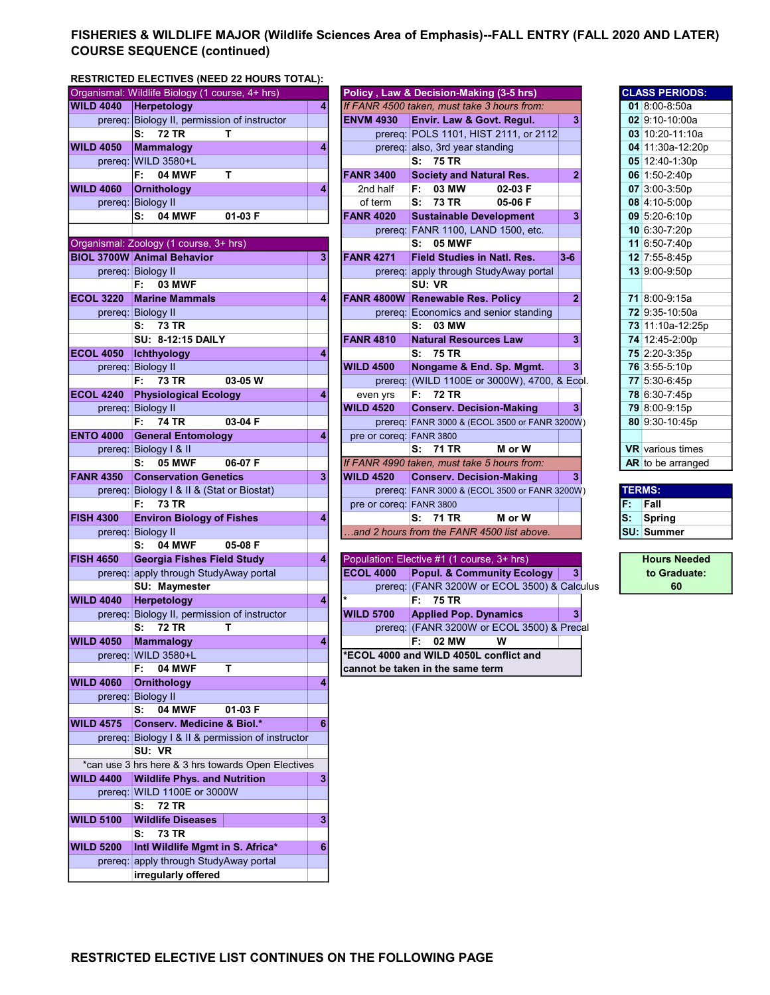## FISHERIES & WILDLIFE MAJOR (Wildlife Sciences Area of Emphasis)--FALL ENTRY (FALL 2020 AND LATER) COURSE SEQUENCE (continued)

## RESTRICTED ELECTIVES (NEED 22 HOURS TOTAL):

|                  | Organismal: Wildlife Biology (1 course, 4+ hrs)               |   |                         | Policy, Law & Decision-Making (3-5 hrs)       |                |       | <b>CLASS PERIODS:</b>   |
|------------------|---------------------------------------------------------------|---|-------------------------|-----------------------------------------------|----------------|-------|-------------------------|
| <b>WILD 4040</b> | Herpetology                                                   | 4 |                         | If FANR 4500 taken, must take 3 hours from:   |                |       | 01 8:00-8:50a           |
| prereq:          | Biology II, permission of instructor                          |   | <b>ENVM 4930</b>        | Envir. Law & Govt. Regul.                     | 3              |       | $02$ 9:10-10:00a        |
|                  | <b>72 TR</b><br>s:<br>т                                       |   |                         | prereg: POLS 1101, HIST 2111, or 2112         |                |       | $03$ 10:20-11:10a       |
| <b>WILD 4050</b> | Mammalogy                                                     | 4 |                         | prereq: also, 3rd year standing               |                |       | 04 11:30a-12:20p        |
| prereq:          | <b>WILD 3580+L</b>                                            |   |                         | S: 75 TR                                      |                |       | 05 12:40-1:30p          |
|                  | <b>04 MWF</b><br>т<br>F:                                      |   | <b>FANR 3400</b>        | <b>Society and Natural Res.</b>               | $\overline{2}$ |       | 06 1:50-2:40p           |
| <b>WILD 4060</b> | <b>Ornithology</b>                                            | 4 | 2nd half                | F: 03 MW<br>02-03 F                           |                |       | 07 3:00-3:50p           |
|                  |                                                               |   |                         | 73 TR                                         |                |       |                         |
|                  | prereq: Biology II                                            |   | of term                 | s:<br>05-06 F                                 |                |       | 08 4:10-5:00p           |
|                  | 04 MWF<br>01-03 F<br>s:                                       |   | <b>FANR 4020</b>        | <b>Sustainable Development</b>                | 3              |       | 09 5:20-6:10p           |
|                  |                                                               |   |                         | prereq: FANR 1100, LAND 1500, etc.            |                |       | 10 6:30-7:20p           |
|                  | Organismal: Zoology (1 course, 3+ hrs)                        |   |                         | <b>S: 05 MWF</b>                              |                |       | 11 6:50-7:40p           |
|                  | <b>BIOL 3700W Animal Behavior</b>                             | 3 | <b>FANR 4271</b>        | <b>Field Studies in Natl. Res.</b>            | $3-6$          |       | 12 7:55-8:45p           |
|                  | prereq: Biology II                                            |   |                         | prereq: apply through StudyAway portal        |                |       | 13 9:00-9:50p           |
|                  | F:<br><b>03 MWF</b>                                           |   |                         | SU: VR                                        |                |       |                         |
| <b>ECOL 3220</b> | <b>Marine Mammals</b>                                         | 4 |                         | FANR 4800W Renewable Res. Policy              | $\overline{2}$ |       | 71 8:00-9:15a           |
|                  | prereq: Biology II                                            |   |                         | prereq: Economics and senior standing         |                |       | 72 9:35-10:50a          |
|                  | S: 73 TR                                                      |   |                         | S: 03 MW                                      |                |       | 73 11:10a-12:25p        |
|                  | <b>SU: 8-12:15 DAILY</b>                                      |   | <b>FANR 4810</b>        | <b>Natural Resources Law</b>                  | 3              |       | 74 12:45-2:00p          |
| <b>ECOL 4050</b> | Ichthyology                                                   | 4 |                         | S: 75 TR                                      |                |       | 75 2:20-3:35p           |
|                  | prereq: Biology II                                            |   | <b>WILD 4500</b>        | Nongame & End. Sp. Mgmt.                      | 3 <sup>1</sup> |       | 76 3:55-5:10p           |
|                  | <b>73 TR</b><br>03-05 W<br>F: I                               |   |                         | prereq: (WILD 1100E or 3000W), 4700, & Ecol.  |                |       | 77 5:30-6:45p           |
| <b>ECOL 4240</b> | <b>Physiological Ecology</b>                                  | 4 | even yrs                | F: 72 TR                                      |                |       | 78 6:30-7:45p           |
|                  | prereq: Biology II                                            |   | <b>WILD 4520</b>        | <b>Conserv. Decision-Making</b>               | 3 <sup>1</sup> |       | 79 8:00-9:15p           |
|                  | <b>74 TR</b><br>03-04 F<br>F:                                 |   |                         |                                               |                |       |                         |
|                  |                                                               |   |                         | prereq: FANR 3000 & (ECOL 3500 or FANR 3200W) |                |       | 80 9:30-10:45p          |
| <b>ENTO 4000</b> | <b>General Entomology</b>                                     | 4 | pre or coreq: FANR 3800 |                                               |                |       |                         |
|                  | prereq: Biology I & II                                        |   |                         | S: 71 TR<br>M or W                            |                |       | <b>VR</b> various times |
|                  | <b>05 MWF</b><br>06-07 F<br>s:                                |   |                         | If FANR 4990 taken, must take 5 hours from:   |                |       | AR to be arranged       |
| <b>FANR 4350</b> | <b>Conservation Genetics</b>                                  | 3 | <b>WILD 4520</b>        | <b>Conserv. Decision-Making</b>               | 3 <sup>1</sup> |       |                         |
|                  | prereq: Biology I & II & (Stat or Biostat)                    |   |                         | prereq: FANR 3000 & (ECOL 3500 or FANR 3200W) |                |       | <b>TERMS:</b>           |
|                  |                                                               |   |                         |                                               |                |       | Fall                    |
|                  | F:<br>73 TR                                                   |   | pre or coreq: FANR 3800 |                                               |                | F.    |                         |
| <b>FISH 4300</b> | <b>Environ Biology of Fishes</b>                              | 4 |                         | 71 TR<br>M or W<br>s:                         |                | $s$ : | <b>Spring</b>           |
|                  | prereq: Biology II                                            |   |                         | .and 2 hours from the FANR 4500 list above.   |                |       | <b>SU: Summer</b>       |
|                  | <b>04 MWF</b><br>s:<br>05-08 F                                |   |                         |                                               |                |       |                         |
| <b>FISH 4650</b> | <b>Georgia Fishes Field Study</b>                             | 4 |                         | Population: Elective #1 (1 course, 3+ hrs)    |                |       | <b>Hours Needed</b>     |
|                  | prereq: apply through StudyAway portal                        |   | <b>ECOL 4000</b>        | <b>Popul. &amp; Community Ecology</b>         | 3              |       | to Graduate:            |
|                  | SU: Maymester                                                 |   |                         | prereq: (FANR 3200W or ECOL 3500) & Calculus  |                |       | 60                      |
| <b>WILD 4040</b> | Herpetology                                                   | 4 |                         | $\overline{F}$ : 75 TR                        |                |       |                         |
|                  |                                                               |   | <b>WILD 5700</b>        |                                               | 3 <sup>1</sup> |       |                         |
| prereq:          | Biology II, permission of instructor<br>т                     |   |                         | <b>Applied Pop. Dynamics</b>                  |                |       |                         |
|                  | s:<br><b>72 TR</b>                                            |   |                         | prereq: (FANR 3200W or ECOL 3500) & Precal    |                |       |                         |
| <b>WILD 4050</b> | <b>Mammalogy</b>                                              | 4 |                         | F: 02 MW<br>w                                 |                |       |                         |
|                  | prereq: WILD 3580+L                                           |   |                         | *ECOL 4000 and WILD 4050L conflict and        |                |       |                         |
|                  | <b>04 MWF</b><br>Т<br>F:                                      |   |                         | cannot be taken in the same term              |                |       |                         |
| <b>WILD 4060</b> | <b>Ornithology</b>                                            | 4 |                         |                                               |                |       |                         |
|                  | prereq: Biology II                                            |   |                         |                                               |                |       |                         |
|                  | 04 MWF<br>s:<br>01-03 F                                       |   |                         |                                               |                |       |                         |
| <b>WILD 4575</b> | <b>Conserv. Medicine &amp; Biol.*</b>                         | 6 |                         |                                               |                |       |                         |
|                  | prereq: Biology I & II & permission of instructor             |   |                         |                                               |                |       |                         |
|                  | SU: VR                                                        |   |                         |                                               |                |       |                         |
|                  | *can use 3 hrs here & 3 hrs towards Open Electives            |   |                         |                                               |                |       |                         |
| <b>WILD 4400</b> | <b>Wildlife Phys. and Nutrition</b>                           | 3 |                         |                                               |                |       |                         |
|                  | prereq: WILD 1100E or 3000W                                   |   |                         |                                               |                |       |                         |
|                  | <b>72 TR</b><br>s:                                            |   |                         |                                               |                |       |                         |
| <b>WILD 5100</b> | <b>Wildlife Diseases</b>                                      | 3 |                         |                                               |                |       |                         |
|                  | <b>73 TR</b><br>s:                                            |   |                         |                                               |                |       |                         |
| <b>WILD 5200</b> | Intl Wildlife Mgmt in S. Africa*                              | 6 |                         |                                               |                |       |                         |
|                  |                                                               |   |                         |                                               |                |       |                         |
|                  | prereq: apply through StudyAway portal<br>irregularly offered |   |                         |                                               |                |       |                         |

|                  | Organismal: Wildlife Biology (1 course, 4+ hrs) |   |                         | Policy, Law & Decision-Making (3-5 hrs)       |                |               | <b>CLASS PERIODS:</b>   |
|------------------|-------------------------------------------------|---|-------------------------|-----------------------------------------------|----------------|---------------|-------------------------|
| <b>WILD 4040</b> | Herpetology                                     | 4 |                         | If FANR 4500 taken, must take 3 hours from:   |                |               | 01 8:00-8:50a           |
|                  | prereq: Biology II, permission of instructor    |   | <b>ENVM 4930</b>        | <b>Envir. Law &amp; Govt. Regul.</b>          | 3              |               | 02 9:10-10:00a          |
|                  | <b>72 TR</b><br>s:<br>т                         |   |                         | prereq: POLS 1101, HIST 2111, or 2112         |                |               | 03 10:20-11:10a         |
| <b>WILD 4050</b> | Mammalogy                                       | 4 |                         | prereq: also, 3rd year standing               |                |               | 04 11:30a-12:20p        |
| prereq:          | <b>WILD 3580+L</b>                              |   |                         | S: 75 TR                                      |                |               | 05 12:40-1:30p          |
|                  | T.<br><b>04 MWF</b><br>F:                       |   | <b>FANR 3400</b>        | <b>Society and Natural Res.</b>               | $\overline{2}$ |               | 06 1:50-2:40p           |
| <b>WILD 4060</b> | <b>Ornithology</b>                              | 4 | 2nd half                | 03 MW<br>02-03 F<br>F:                        |                |               | 07 3:00-3:50p           |
|                  | prereq: Biology II                              |   | of term                 | <b>73 TR</b><br>05-06 F<br>S:                 |                |               | 08 4:10-5:00p           |
|                  | <b>04 MWF</b><br>S:<br>01-03 F                  |   | <b>FANR 4020</b>        | <b>Sustainable Development</b>                | 3              |               | 09 5:20-6:10p           |
|                  |                                                 |   |                         | prereq: FANR 1100, LAND 1500, etc.            |                |               | 10 6:30-7:20p           |
|                  | Organismal: Zoology (1 course, 3+ hrs)          |   |                         | S: 05 MWF                                     |                |               | 11 6:50-7:40p           |
|                  | <b>BIOL 3700W Animal Behavior</b>               | 3 | <b>FANR 4271</b>        | <b>Field Studies in Natl. Res.</b>            | $3 - 6$        |               | 12 7:55-8:45p           |
|                  | prereq: Biology II                              |   |                         | prereq: apply through StudyAway portal        |                |               | 13 9:00-9:50p           |
|                  | <b>03 MWF</b><br>F: I                           |   |                         | SU: VR                                        |                |               |                         |
| <b>ECOL 3220</b> | <b>Marine Mammals</b>                           | 4 |                         | <b>FANR 4800W Renewable Res. Policy</b>       | $\mathbf{2}$   |               | 71 8:00-9:15a           |
|                  | prereq: Biology II                              |   |                         | prereq: Economics and senior standing         |                |               | 72 9:35-10:50a          |
|                  | 73 TR<br>s.                                     |   |                         | S: 03 MW                                      |                |               | 73 11:10a-12:25p        |
|                  | <b>SU: 8-12:15 DAILY</b>                        |   | <b>FANR 4810</b>        | <b>Natural Resources Law</b>                  | 3              |               | 74 12:45-2:00p          |
| <b>ECOL 4050</b> | <b>Ichthyology</b>                              | 4 |                         | S: 75 TR                                      |                |               | 75 2:20-3:35p           |
|                  | prereq: Biology II                              |   | <b>WILD 4500</b>        | Nongame & End. Sp. Mgmt.                      | 3 <sup>1</sup> |               | 76 3:55-5:10p           |
|                  | 03-05 W<br>F: 73 TR                             |   |                         | prereq: (WILD 1100E or 3000W), 4700, & Ecol.  |                |               | 77 5:30-6:45p           |
| <b>ECOL 4240</b> | <b>Physiological Ecology</b>                    | 4 | even yrs                | F: 72 TR                                      |                |               | 78 6:30-7:45p           |
|                  | prereq: Biology II                              |   | <b>WILD 4520</b>        | <b>Conserv. Decision-Making</b>               | 3 <sup>1</sup> |               | 79 8:00-9:15p           |
|                  | F: 74 TR<br>03-04 F                             |   |                         | prereq: FANR 3000 & (ECOL 3500 or FANR 3200W) |                |               | 80 9:30-10:45p          |
| <b>ENTO 4000</b> | <b>General Entomology</b>                       | 4 | pre or coreq: FANR 3800 |                                               |                |               |                         |
|                  | prereq: Biology I & II                          |   |                         | S: 71 TR<br>M or W                            |                |               | <b>VR</b> various times |
|                  | 06-07 F<br><b>05 MWF</b><br>s:                  |   |                         | If FANR 4990 taken, must take 5 hours from:   |                |               | AR to be arranged       |
| <b>FANR 4350</b> | <b>Conservation Genetics</b>                    | 3 | <b>WILD 4520</b>        | <b>Conserv. Decision-Making</b>               | 3 <sup>1</sup> |               |                         |
|                  | prereq: Biology I & II & (Stat or Biostat)      |   |                         | prereq: FANR 3000 & (ECOL 3500 or FANR 3200W) |                | <b>TERMS:</b> |                         |
|                  | <b>73 TR</b><br>F:                              |   | pre or coreq: FANR 3800 |                                               |                | F.            | Fall                    |
| <b>FISH 4300</b> | <b>Environ Biology of Fishes</b>                | 4 |                         | S: 71 TR<br>M or W                            |                | S:            | Spring                  |
|                  | prereq: Biology II                              |   |                         | and 2 hours from the FANR 4500 list above.    |                |               | <b>SU: Summer</b>       |
|                  | 04 MWF<br>05-08 F<br>s:                         |   |                         |                                               |                |               |                         |
| FISH 4650        | <b>Georgia Fishes Field Study</b>               | 4 |                         | Population: Flective #1 (1 course 3+ hrs)     |                |               | <b>Hours Needed</b>     |

| יטטא | <b>UBUIYA FISHES FIBIU JUUY</b>              | . . |                  | <b>IF ODUIQUOII. LIECUVE # LI LOUISE. JT IIIST</b> |  |
|------|----------------------------------------------|-----|------------------|----------------------------------------------------|--|
|      | prereg: apply through StudyAway portal       |     | <b>ECOL 4000</b> | <b>Popul. &amp; Community Ecology</b>              |  |
|      | <b>SU: Maymester</b>                         |     |                  | prereq: (FANR 3200W or ECOL 3500) & Calculus       |  |
| 4040 | <b>Herpetology</b>                           |     |                  | F: 75 TR                                           |  |
|      | prereg: Biology II, permission of instructor |     | <b>WILD 5700</b> | <b>Applied Pop. Dynamics</b>                       |  |
|      | 72 TR<br>s.                                  |     |                  | prereq: (FANR 3200W or ECOL 3500) & Precal         |  |
| 4050 | <b>Mammalogy</b>                             | 4   |                  | F:<br>02 MW<br>w                                   |  |
|      | prereg: WILD 3580+L                          |     |                  | FECOL 4000 and WILD 4050L conflict and             |  |
|      | <b>04 MWF</b><br>F:                          |     |                  | cannot be taken in the same term                   |  |

|    | <b>CLASS PERIODS:</b>   |
|----|-------------------------|
|    | $018:00 - 8:50a$        |
|    | 02 9:10-10:00a          |
|    | 03 10:20-11:10a         |
|    | 04 11:30a-12:20p        |
|    | 05 12:40-1:30p          |
|    | 06 1:50-2:40p           |
|    | 07 3:00-3:50p           |
|    | 08 4:10-5:00p           |
|    | 09 5:20-6:10p           |
|    | 10 6:30-7:20p           |
|    | 11 6:50-7:40p           |
|    | 12 7:55-8:45p           |
|    | 13 9:00-9:50p           |
|    |                         |
|    | 71 8:00-9:15a           |
|    | 72 9:35-10:50a          |
|    | 73 11:10a-12:25p        |
|    | 74 12:45-2:00p          |
|    | 75 2:20-3:35p           |
|    | 76 3:55-5:10p           |
|    | 77 5:30-6:45p           |
|    | 78 6:30-7:45p           |
|    | 79 8:00-9:15p           |
| 80 | 9:30-10:45p             |
|    |                         |
|    | <b>VR</b> various times |
|    | AR to be arranged       |

| <b>TERMS:</b> |                   |  |  |  |  |  |
|---------------|-------------------|--|--|--|--|--|
|               | Fall              |  |  |  |  |  |
|               | Spring            |  |  |  |  |  |
|               | <b>SU: Summer</b> |  |  |  |  |  |

to Graduate: 60 **Hours Needed**